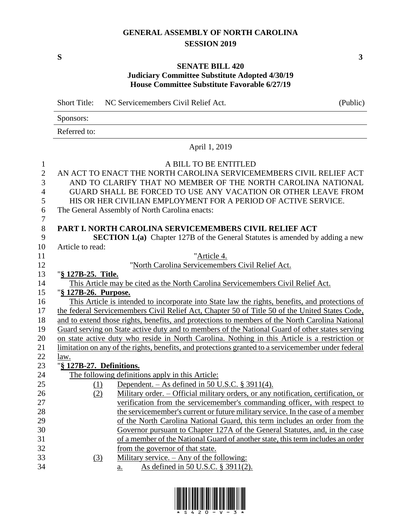#### **GENERAL ASSEMBLY OF NORTH CAROLINA SESSION 2019**

**S 3**

#### **SENATE BILL 420 Judiciary Committee Substitute Adopted 4/30/19 House Committee Substitute Favorable 6/27/19**

Short Title: NC Servicemembers Civil Relief Act. (Public) Sponsors: Referred to: April 1, 2019 A BILL TO BE ENTITLED AN ACT TO ENACT THE NORTH CAROLINA SERVICEMEMBERS CIVIL RELIEF ACT AND TO CLARIFY THAT NO MEMBER OF THE NORTH CAROLINA NATIONAL GUARD SHALL BE FORCED TO USE ANY VACATION OR OTHER LEAVE FROM HIS OR HER CIVILIAN EMPLOYMENT FOR A PERIOD OF ACTIVE SERVICE. The General Assembly of North Carolina enacts: **PART I. NORTH CAROLINA SERVICEMEMBERS CIVIL RELIEF ACT SECTION 1.(a)** Chapter 127B of the General Statutes is amended by adding a new Article to read: "Article 4. "North Carolina Servicemembers Civil Relief Act. "**§ 127B-25. Title.** This Article may be cited as the North Carolina Servicemembers Civil Relief Act. "**§ 127B-26. Purpose.** This Article is intended to incorporate into State law the rights, benefits, and protections of the federal Servicemembers Civil Relief Act, Chapter 50 of Title 50 of the United States Code, and to extend those rights, benefits, and protections to members of the North Carolina National Guard serving on State active duty and to members of the National Guard of other states serving on state active duty who reside in North Carolina. Nothing in this Article is a restriction or limitation on any of the rights, benefits, and protections granted to a servicemember under federal law. "**§ 127B-27. Definitions.** The following definitions apply in this Article: (1) Dependent. – As defined in 50 U.S.C. § 3911(4). 26 (2) Military order. – Official military orders, or any notification, certification, or verification from the servicemember's commanding officer, with respect to the servicemember's current or future military service. In the case of a member of the North Carolina National Guard, this term includes an order from the Governor pursuant to Chapter 127A of the General Statutes, and, in the case of a member of the National Guard of another state, this term includes an order from the governor of that state. (3) Military service. – Any of the following:

a. As defined in 50 U.S.C. § 3911(2).

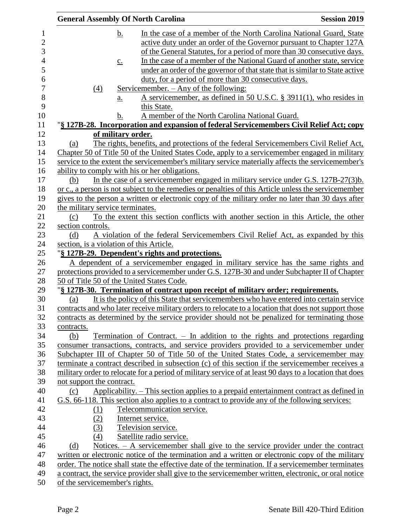| <b>General Assembly Of North Carolina</b>      |                                                                                                                                                                                             | <b>Session 2019</b> |
|------------------------------------------------|---------------------------------------------------------------------------------------------------------------------------------------------------------------------------------------------|---------------------|
| <u>b.</u>                                      | In the case of a member of the North Carolina National Guard, State<br>active duty under an order of the Governor pursuant to Chapter 127A                                                  |                     |
|                                                | of the General Statutes, for a period of more than 30 consecutive days.                                                                                                                     |                     |
| $\underline{c}$ .                              | In the case of a member of the National Guard of another state, service                                                                                                                     |                     |
|                                                | under an order of the governor of that state that is similar to State active                                                                                                                |                     |
|                                                | duty, for a period of more than 30 consecutive days.                                                                                                                                        |                     |
| $\underline{(4)}$                              | <u>Servicemember. – Any of the following:</u>                                                                                                                                               |                     |
| $\underline{a}$ .                              | A servicemember, as defined in 50 U.S.C. § 3911(1), who resides in<br>this State.                                                                                                           |                     |
| b.                                             | A member of the North Carolina National Guard.                                                                                                                                              |                     |
|                                                | "§ 127B-28. Incorporation and expansion of federal Servicemembers Civil Relief Act; copy                                                                                                    |                     |
| of military order.                             |                                                                                                                                                                                             |                     |
| (a)                                            | The rights, benefits, and protections of the federal Servicemembers Civil Relief Act,                                                                                                       |                     |
|                                                | Chapter 50 of Title 50 of the United States Code, apply to a servicemember engaged in military                                                                                              |                     |
|                                                | service to the extent the servicemember's military service materially affects the servicemember's                                                                                           |                     |
| ability to comply with his or her obligations. |                                                                                                                                                                                             |                     |
| (b)                                            | In the case of a servicemember engaged in military service under G.S. $127B-27(3)b$ .                                                                                                       |                     |
|                                                | or c., a person is not subject to the remedies or penalties of this Article unless the servicemember                                                                                        |                     |
|                                                | gives to the person a written or electronic copy of the military order no later than 30 days after                                                                                          |                     |
| the military service terminates.               |                                                                                                                                                                                             |                     |
| (c)                                            | To the extent this section conflicts with another section in this Article, the other                                                                                                        |                     |
| section controls.                              |                                                                                                                                                                                             |                     |
| (d)                                            | A violation of the federal Servicemembers Civil Relief Act, as expanded by this                                                                                                             |                     |
| section, is a violation of this Article.       |                                                                                                                                                                                             |                     |
|                                                | "§ 127B-29. Dependent's rights and protections.                                                                                                                                             |                     |
|                                                | A dependent of a servicemember engaged in military service has the same rights and                                                                                                          |                     |
|                                                | protections provided to a servicemember under G.S. 127B-30 and under Subchapter II of Chapter                                                                                               |                     |
| 50 of Title 50 of the United States Code.      |                                                                                                                                                                                             |                     |
|                                                | "§ 127B-30. Termination of contract upon receipt of military order; requirements.                                                                                                           |                     |
| (a)                                            | It is the policy of this State that servicemembers who have entered into certain service                                                                                                    |                     |
|                                                | contracts and who later receive military orders to relocate to a location that does not support those                                                                                       |                     |
|                                                | contracts as determined by the service provider should not be penalized for terminating those                                                                                               |                     |
| contracts.                                     |                                                                                                                                                                                             |                     |
| (b)                                            | Termination of Contract. $-$ In addition to the rights and protections regarding                                                                                                            |                     |
|                                                | consumer transactions, contracts, and service providers provided to a servicemember under                                                                                                   |                     |
|                                                | Subchapter III of Chapter 50 of Title 50 of the United States Code, a servicemember may<br>terminate a contract described in subsection (c) of this section if the servicemember receives a |                     |
|                                                | military order to relocate for a period of military service of at least 90 days to a location that does                                                                                     |                     |
|                                                |                                                                                                                                                                                             |                     |
| not support the contract.<br>(c)               | Applicability. - This section applies to a prepaid entertainment contract as defined in                                                                                                     |                     |
|                                                | G.S. 66-118. This section also applies to a contract to provide any of the following services:                                                                                              |                     |
| (1)                                            | Telecommunication service.                                                                                                                                                                  |                     |
| (2)                                            | Internet service.                                                                                                                                                                           |                     |
| (3)                                            | Television service.                                                                                                                                                                         |                     |
| (4)                                            | Satellite radio service.                                                                                                                                                                    |                     |
| (d)                                            | Notices. – A servicemember shall give to the service provider under the contract                                                                                                            |                     |
|                                                | written or electronic notice of the termination and a written or electronic copy of the military                                                                                            |                     |
|                                                | order. The notice shall state the effective date of the termination. If a servicemember terminates                                                                                          |                     |
|                                                | a contract, the service provider shall give to the servicemember written, electronic, or oral notice                                                                                        |                     |
| of the servicemember's rights.                 |                                                                                                                                                                                             |                     |
|                                                |                                                                                                                                                                                             |                     |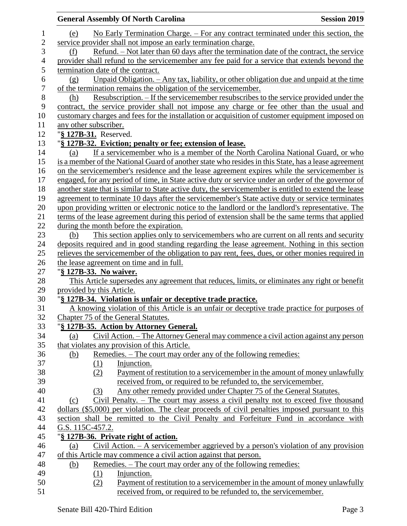|                |                                     | <b>General Assembly Of North Carolina</b>                                                             | <b>Session 2019</b> |
|----------------|-------------------------------------|-------------------------------------------------------------------------------------------------------|---------------------|
| 1              | (e)                                 | No Early Termination Charge. – For any contract terminated under this section, the                    |                     |
| $\overline{2}$ |                                     | service provider shall not impose an early termination charge.                                        |                     |
| 3              | (f)                                 | Refund. – Not later than 60 days after the termination date of the contract, the service              |                     |
| $\overline{4}$ |                                     | provider shall refund to the servicemember any fee paid for a service that extends beyond the         |                     |
| 5              | termination date of the contract.   |                                                                                                       |                     |
| 6              | (g)                                 | Unpaid Obligation. - Any tax, liability, or other obligation due and unpaid at the time               |                     |
| $\overline{7}$ |                                     | of the termination remains the obligation of the servicemember.                                       |                     |
| $8\,$          | (h)                                 | Resubscription. – If the servicemember resubscribes to the service provided under the                 |                     |
| 9              |                                     | contract, the service provider shall not impose any charge or fee other than the usual and            |                     |
| 10             |                                     | customary charges and fees for the installation or acquisition of customer equipment imposed on       |                     |
| 11             | any other subscriber.               |                                                                                                       |                     |
| 12             | "§ 127B-31. Reserved.               |                                                                                                       |                     |
| 13             |                                     | "§ 127B-32. Eviction; penalty or fee; extension of lease.                                             |                     |
| 14             | (a)                                 | If a servicemember who is a member of the North Carolina National Guard, or who                       |                     |
| 15             |                                     | is a member of the National Guard of another state who resides in this State, has a lease agreement   |                     |
| 16             |                                     | on the servicemember's residence and the lease agreement expires while the servicemember is           |                     |
| 17             |                                     | engaged, for any period of time, in State active duty or service under an order of the governor of    |                     |
| 18             |                                     | another state that is similar to State active duty, the servicemember is entitled to extend the lease |                     |
| 19             |                                     | agreement to terminate 10 days after the servicemember's State active duty or service terminates      |                     |
| 20             |                                     | upon providing written or electronic notice to the landlord or the landlord's representative. The     |                     |
| 21             |                                     | terms of the lease agreement during this period of extension shall be the same terms that applied     |                     |
| 22             |                                     | during the month before the expiration.                                                               |                     |
| 23             | (b)                                 | This section applies only to servicemembers who are current on all rents and security                 |                     |
| 24             |                                     | deposits required and in good standing regarding the lease agreement. Nothing in this section         |                     |
| 25             |                                     | relieves the servicemember of the obligation to pay rent, fees, dues, or other monies required in     |                     |
| 26             |                                     | the lease agreement on time and in full.                                                              |                     |
| 27             | "§ 127B-33. No waiver.              |                                                                                                       |                     |
| 28             |                                     | This Article supersedes any agreement that reduces, limits, or eliminates any right or benefit        |                     |
| 29             | provided by this Article.           |                                                                                                       |                     |
| 30             |                                     | "§ 127B-34. Violation is unfair or deceptive trade practice.                                          |                     |
| 31             |                                     | A knowing violation of this Article is an unfair or deceptive trade practice for purposes of          |                     |
| 32             | Chapter 75 of the General Statutes. |                                                                                                       |                     |
| 33             |                                     | "§ 127B-35. Action by Attorney General.                                                               |                     |
| 34             | (a)                                 | Civil Action. – The Attorney General may commence a civil action against any person                   |                     |
| 35             |                                     | that violates any provision of this Article.                                                          |                     |
| 36             | <u>(b)</u>                          | Remedies. – The court may order any of the following remedies:                                        |                     |
| 37             | (1)                                 | Injunction.                                                                                           |                     |
| 38             | (2)                                 | Payment of restitution to a servicemember in the amount of money unlawfully                           |                     |
| 39             |                                     | received from, or required to be refunded to, the servicemember.                                      |                     |
| 40             | (3)                                 | Any other remedy provided under Chapter 75 of the General Statutes.                                   |                     |
| 41             | (c)                                 | Civil Penalty. $-$ The court may assess a civil penalty not to exceed five thousand                   |                     |
| 42             |                                     | dollars (\$5,000) per violation. The clear proceeds of civil penalties imposed pursuant to this       |                     |
| 43             |                                     | section shall be remitted to the Civil Penalty and Forfeiture Fund in accordance with                 |                     |
| 44             | G.S. 115C-457.2.                    |                                                                                                       |                     |
| 45             |                                     | "§ 127B-36. Private right of action.                                                                  |                     |
| 46             | (a)                                 | Civil Action. $-\underline{A}$ servicemember aggrieved by a person's violation of any provision       |                     |
| 47             |                                     | of this Article may commence a civil action against that person.                                      |                     |
| 48             | (b)                                 | Remedies. – The court may order any of the following remedies:                                        |                     |
| 49             | (1)                                 | Injunction.                                                                                           |                     |
| 50             | (2)                                 | Payment of restitution to a servicemember in the amount of money unlawfully                           |                     |
| 51             |                                     | received from, or required to be refunded to, the servicemember.                                      |                     |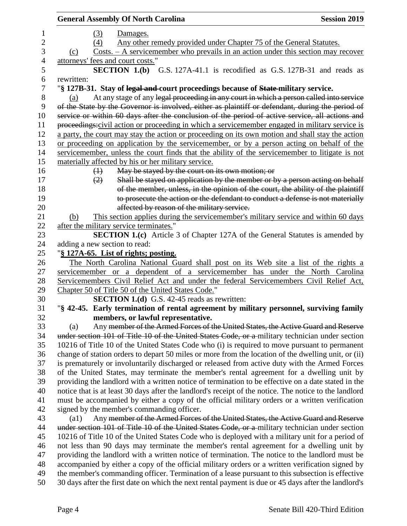|            | <b>General Assembly Of North Carolina</b>                                                              | <b>Session 2019</b> |
|------------|--------------------------------------------------------------------------------------------------------|---------------------|
|            | (3)<br>Damages.                                                                                        |                     |
|            | Any other remedy provided under Chapter 75 of the General Statutes.<br>(4)                             |                     |
| (c)        | $Costs. - A service member who prevails in an action under this section may recover$                   |                     |
|            | attorneys' fees and court costs."                                                                      |                     |
|            | SECTION 1.(b) G.S. 127A-41.1 is recodified as G.S. 127B-31 and reads as                                |                     |
| rewritten: |                                                                                                        |                     |
|            | "§ 127B-31. Stay of legal and court proceedings because of State military service.                     |                     |
| (a)        | At any stage of any legal proceeding in any court in which a person called into service                |                     |
|            | of the State by the Governor is involved, either as plaintiff or defendant, during the period of       |                     |
|            | service or within 60 days after the conclusion of the period of active service, all actions and        |                     |
|            | proceedings:civil action or proceeding in which a servicemember engaged in military service is         |                     |
|            | a party, the court may stay the action or proceeding on its own motion and shall stay the action       |                     |
|            | or proceeding on application by the servicemember, or by a person acting on behalf of the              |                     |
|            | servicemember, unless the court finds that the ability of the servicemember to litigate is not         |                     |
|            | materially affected by his or her military service.                                                    |                     |
|            | May be stayed by the court on its own motion; or<br>$\leftrightarrow$                                  |                     |
|            | Shall be stayed on application by the member or by a person acting on behalf<br>(2)                    |                     |
|            | of the member, unless, in the opinion of the court, the ability of the plaintiff                       |                     |
|            | to prosecute the action or the defendant to conduct a defense is not materially                        |                     |
|            | affected by reason of the military service.                                                            |                     |
| (b)        | This section applies during the servicemember's military service and within 60 days                    |                     |
|            | after the military service terminates."                                                                |                     |
|            | <b>SECTION 1.(c)</b> Article 3 of Chapter 127A of the General Statutes is amended by                   |                     |
|            | adding a new section to read:                                                                          |                     |
|            | "§ 127A-65. List of rights; posting.                                                                   |                     |
|            | The North Carolina National Guard shall post on its Web site a list of the rights a                    |                     |
|            | servicemember or a dependent of a servicemember has under the North Carolina                           |                     |
|            | Servicemembers Civil Relief Act and under the federal Servicemembers Civil Relief Act,                 |                     |
|            | Chapter 50 of Title 50 of the United States Code."                                                     |                     |
|            | <b>SECTION 1.(d)</b> G.S. 42-45 reads as rewritten:                                                    |                     |
|            | "§ 42-45. Early termination of rental agreement by military personnel, surviving family                |                     |
|            | members, or lawful representative.                                                                     |                     |
| (a)        | Any member of the Armed Forces of the United States, the Active Guard and Reserve                      |                     |
|            | under section 101 of Title 10 of the United States Code, or a military technician under section        |                     |
|            | 10216 of Title 10 of the United States Code who (i) is required to move pursuant to permanent          |                     |
|            | change of station orders to depart 50 miles or more from the location of the dwelling unit, or (ii)    |                     |
|            | is prematurely or involuntarily discharged or released from active duty with the Armed Forces          |                     |
|            | of the United States, may terminate the member's rental agreement for a dwelling unit by               |                     |
|            | providing the landlord with a written notice of termination to be effective on a date stated in the    |                     |
|            | notice that is at least 30 days after the landlord's receipt of the notice. The notice to the landlord |                     |
|            | must be accompanied by either a copy of the official military orders or a written verification         |                     |
|            | signed by the member's commanding officer.                                                             |                     |
| (al)       | Any member of the Armed Forces of the United States, the Active Guard and Reserve                      |                     |
|            | under section 101 of Title 10 of the United States Code, or a military technician under section        |                     |
|            | 10216 of Title 10 of the United States Code who is deployed with a military unit for a period of       |                     |
|            | not less than 90 days may terminate the member's rental agreement for a dwelling unit by               |                     |
|            | providing the landlord with a written notice of termination. The notice to the landlord must be        |                     |
|            | accompanied by either a copy of the official military orders or a written verification signed by       |                     |
|            | the member's commanding officer. Termination of a lease pursuant to this subsection is effective       |                     |
|            |                                                                                                        |                     |
|            | 30 days after the first date on which the next rental payment is due or 45 days after the landlord's   |                     |